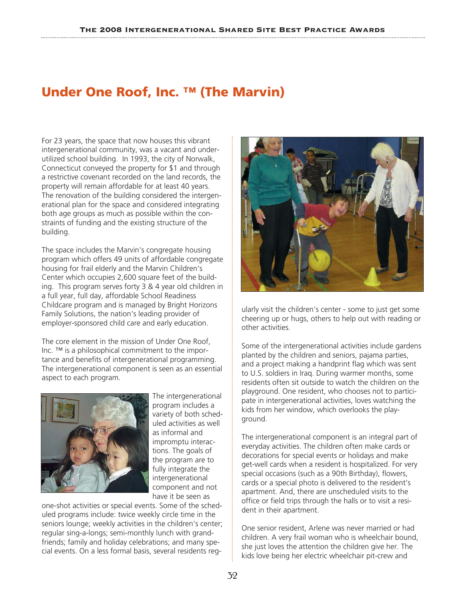# **Under One Roof, Inc. ™ (The Marvin)**

For 23 years, the space that now houses this vibrant intergenerational community, was a vacant and underutilized school building. In 1993, the city of Norwalk, Connecticut conveyed the property for \$1 and through a restrictive covenant recorded on the land records, the property will remain affordable for at least 40 years. The renovation of the building considered the intergenerational plan for the space and considered integrating both age groups as much as possible within the constraints of funding and the existing structure of the building.

The space includes the Marvin's congregate housing program which offers 49 units of affordable congregate housing for frail elderly and the Marvin Children's Center which occupies 2,600 square feet of the building. This program serves forty 3 & 4 year old children in a full year, full day, affordable School Readiness Childcare program and is managed by Bright Horizons Family Solutions, the nation's leading provider of employer-sponsored child care and early education.

The core element in the mission of Under One Roof, Inc. ™ is a philosophical commitment to the importance and benefits of intergenerational programming. The intergenerational component is seen as an essential aspect to each program.



The intergenerational program includes a variety of both scheduled activities as well as informal and impromptu interactions. The goals of the program are to fully integrate the intergenerational component and not have it be seen as

one-shot activities or special events. Some of the scheduled programs include: twice weekly circle time in the seniors lounge; weekly activities in the children's center; regular sing-a-longs; semi-monthly lunch with grandfriends; family and holiday celebrations; and many special events. On a less formal basis, several residents reg-



ularly visit the children's center - some to just get some cheering up or hugs, others to help out with reading or other activities.

Some of the intergenerational activities include gardens planted by the children and seniors, pajama parties, and a project making a handprint flag which was sent to U.S. soldiers in Iraq. During warmer months, some residents often sit outside to watch the children on the playground. One resident, who chooses not to participate in intergenerational activities, loves watching the kids from her window, which overlooks the playground.

The intergenerational component is an integral part of everyday activities. The children often make cards or decorations for special events or holidays and make get-well cards when a resident is hospitalized. For very special occasions (such as a 90th Birthday), flowers, cards or a special photo is delivered to the resident's apartment. And, there are unscheduled visits to the office or field trips through the halls or to visit a resident in their apartment.

One senior resident, Arlene was never married or had children. A very frail woman who is wheelchair bound, she just loves the attention the children give her. The kids love being her electric wheelchair pit-crew and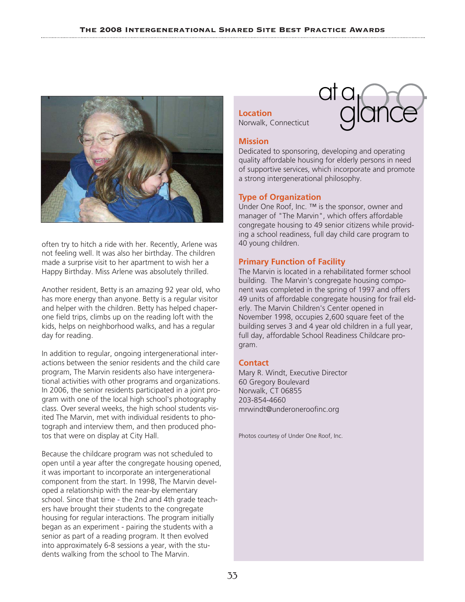

often try to hitch a ride with her. Recently, Arlene was not feeling well. It was also her birthday. The children made a surprise visit to her apartment to wish her a Happy Birthday. Miss Arlene was absolutely thrilled.

Another resident, Betty is an amazing 92 year old, who has more energy than anyone. Betty is a regular visitor and helper with the children. Betty has helped chaperone field trips, climbs up on the reading loft with the kids, helps on neighborhood walks, and has a regular day for reading.

In addition to regular, ongoing intergenerational interactions between the senior residents and the child care program, The Marvin residents also have intergenerational activities with other programs and organizations. In 2006, the senior residents participated in a joint program with one of the local high school's photography class. Over several weeks, the high school students visited The Marvin, met with individual residents to photograph and interview them, and then produced photos that were on display at City Hall.

Because the childcare program was not scheduled to open until a year after the congregate housing opened, it was important to incorporate an intergenerational component from the start. In 1998, The Marvin developed a relationship with the near-by elementary school. Since that time - the 2nd and 4th grade teachers have brought their students to the congregate housing for regular interactions. The program initially began as an experiment - pairing the students with a senior as part of a reading program. It then evolved into approximately 6-8 sessions a year, with the students walking from the school to The Marvin.

**Location** Norwalk, Connecticut



## **Mission**

Dedicated to sponsoring, developing and operating quality affordable housing for elderly persons in need of supportive services, which incorporate and promote a strong intergenerational philosophy.

## **Type of Organization**

Under One Roof, Inc. ™ is the sponsor, owner and manager of "The Marvin", which offers affordable congregate housing to 49 senior citizens while providing a school readiness, full day child care program to 40 young children.

## **Primary Function of Facility**

The Marvin is located in a rehabilitated former school building. The Marvin's congregate housing component was completed in the spring of 1997 and offers 49 units of affordable congregate housing for frail elderly. The Marvin Children's Center opened in November 1998, occupies 2,600 square feet of the building serves 3 and 4 year old children in a full year, full day, affordable School Readiness Childcare program.

## **Contact**

Mary R. Windt, Executive Director 60 Gregory Boulevard Norwalk, CT 06855 203-854-4660 mrwindt@underoneroofinc.org

Photos courtesy of Under One Roof, Inc.